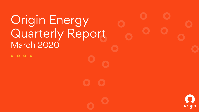# **Origin Energy** Quarterly Report March 2020 $0000$

orıgın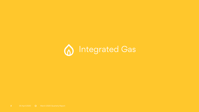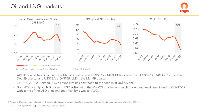## Oil and LNG markets





- APLNG's effective oil price in the Mar-20 quarter was US\$65/bbl (A\$99/bbl), down from US\$69/bbl (A\$100/bbl) in the Dec-19 quarter and US\$78/bbl (A\$109/bbl) in the Mar-19 quarter.
- FY2020 APLNG related JCC oil exposure has now been fully priced in at US\$68/bbl.
- Both JCC and Spot LNG prices in USD softened in the Mar-20 quarter as a result of demand weakness linked to COVID-19 with some of the USD price impact offset by a weaker AUD.

1) The use of this content was authorised in advance. Any further use or redistribution of this content is strictly prohibited without written permission by IHS Markit.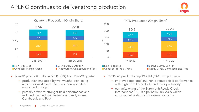## APLNG continues to deliver strong production





- Mar-20 production down 0.8 PJ (1%) from Dec-19 quarter
	- − production impacted by wet weather restricting access for workovers and minor non-operated unplanned outages
	- − partially offset by stronger field performance and reduced planned maintenance at Reedy Creek, Combabula and Peat



- FYTD-20 production up 10.2 PJ (5%) from prior year
	- − improved operated and non-operated field performance with higher well availability and facility reliability
	- − commissioning of the Eurombah Reedy Creek Interconnect (ERIC) pipeline in July 2019 which improved utilisation of processing capacity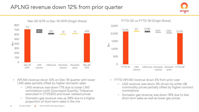## APLNG revenue down 12% from prior quarter



 $\frac{2,145}{2}$   $\frac{47}{2}$   $\frac{(109)}{2}$   $\frac{(20)}{2}$   $\frac{(30)}{2,033}$ 47 (109)<br>(20) (30)  $\bigcirc$ 500 1,000 1,500 2,000 2,500  $\epsilon$ FYTD-20 vs FYTD-19 (Origin Share)

- APLNG revenue down 12% on Dec-19 quarter with lower LNG sales partially offset by higher domestic sales
	- LNG revenue was down 17% due to lower LNG nominations (with Downward Quantity Tolerance exercised in CY2020) and lower realised prices
	- − Domestic gas revenue was up 39% due to a higher proportion of short term sales in the mix

• FYTD APLNG revenue down 5% from prior year

FYTD-19 LNG

volume

− LNG revenue was down 3% driven by softer A\$ commodity prices partially offset by higher contract nominations

LNG price Domestic Domestic FYTD-20

price

origin

volume

Domestic gas revenue was down 18% due to less short term sales as well as lower gas prices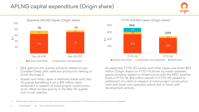## APLNG capital expenditure (Origin share)



- E&A spend in the quarter primarily related to two Condabri Deep pilot wells and production testing of South Burunga 2.
- Sustain and other capex is relatively stable with Dec-19 quarter benefiting from a \$19 million claim settlement in respect of initial project construction work, offset by less activity in the Mar-20 quarter due to wet weather.



origin

As expected, FYTD-20 sustain and other capex was down \$53 million (Origin share) on FYTD-19 driven by lower operated spend primarily related to infrastructure with the ERIC pipeline build in FYTD-19, \$19 million benefit in FYTD-20 related to settlement of a claim in respect of initial project construction work and lower non-operated spend due to lower well development activity.

1) APLNG capex is reported on an accrual basis. For the purpose of comparability FYTD-19 workover costs have been shown separately.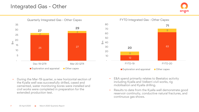#### Integrated Gas - Other





12 63 8 8 - 10 20 30  $rac{E}{40}$  40 50  $60$  70 80 FYTD-19 FYTD-20 FYTD Integrated Gas - Other Capex Exploration and appraisal Cher capex **20 71**

• During the Mar-19 quarter, a new horizontal section of the Kyalla well was successfully drilled, cased and cemented, water monitoring bores were installed and civil works were completed in preparation for the extended production test.

- E&A spend primarily relates to Beetaloo activity including Kyalla and Velkerri civil works, rig mobilisation and Kyalla drilling.
- Results to date from the Kyalla well demonstrate good reservoir continuity, conductive natural fractures, and continuous gas shows.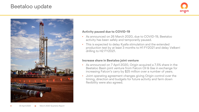#### Beetaloo update





#### **Activity paused due to COVID-19**

- As announced on 26 March 2020, due to COVID-19, Beetaloo activity has been safely and temporarily paused.
- This is expected to delay Kyalla stimulation and the extended production test by at least 3 months to H1 FY2021 and delay Velkerri drilling to H2 FY2021.

#### **Increase share in Beetaloo joint venture**

- As announced on 7 April 2020, Origin acquired a 7.5% share in the Beetaloo Basin joint venture from Falcon Oil & Gas in exchange for increasing Falcon's carry by \$25 million over a number of years.
- Joint operating agreement changes giving Origin control over the timing, direction and budgets for future activity and farm down flexibility were also agreed.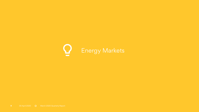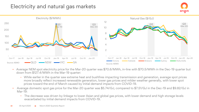#### Electricity and natural gas markets





- Average NEM spot electricity price for the Mar-20 quarter was \$70.6/MWh, in-line with \$70.5/MWh in the Dec-19 quarter but down from \$127.4/MWh in the Mar-19 quarter:
	- While earlier in the quarter saw extreme heat and bushfires impacting transmission and generation, average spot prices more broadly reflect increased renewable generation, lower gas prices and milder weather generally, with lower spot prices toward the end of March caused by initial demand impacts from COVID-19.
- Average domestic spot gas price for the Mar-20 quarter was \$5.74/GJ, compared to \$7.51/GJ in the Dec-19 and \$9.82/GJ in Mar-19:
	- − The decrease was driven by linkage to lower Asian and global gas prices, with lower demand and high storage levels exacerbated by initial demand impacts from COVID-19.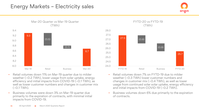#### Energy Markets – Electricity sales





- Retail volumes down 11% on Mar-19 quarter due to milder weather (~0.2 TWh), lower usage from solar uptake, energy efficiency and initial impacts from COVID-19 (~0.1 TWh), as well as lower customer numbers and changes in customer mix  $(-0.1$  TWh $)$ .
- Business volumes were down 3% on Mar-19 quarter due primarily to the expiration of contracts, with minimal initial impacts from COVID-19.



- Retail volumes down 7% on FYTD-19 due to milder weather (~0.3 TWh) lower customer numbers and changes in customer mix (~0.4 TWh), as well as lower usage from continued solar solar uptake, energy efficiency and initial impacts from COVID-19 (~0.2 TWh).
- Business volumes down 6% due primarily to the expiration of contracts.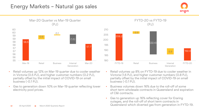#### Energy Markets – Natural gas sales





- Retail volumes up 12% on Mar-19 quarter due to cooler weather in Victoria (0.5 PJ), and higher customer numbers (0.2 PJ), partially offset by the initial impact of COVID-19 on small business (-0.1 PJ).
- Gas to generation down 10% on Mar-19 quarter reflecting lower electricity pool prices.



- Retail volumes up 8% on FYTD-19 due to cooler weather in Victoria (1.6 PJ), and higher customer numbers (0.8 PJ), partially offset by the initial impact of COVID-19 on small business (-0.1 PJ).
- Business volumes down 16% due to the roll-off of some short term wholesale contracts in Queensland and expiration of C&I contracts.
- Gas to generation up 16% reflecting cover for Eraring outages, and the roll-off of short term contracts in Queensland which diverted gas from generation in FYTD-19.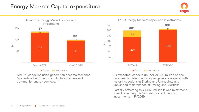#### Energy Markets Capital expenditure





• Mar-20 capex included generation fleet maintenance, Quarantine Unit 2 repower, digital initiatives and community energy services.



 $\frac{E}{4}$ 

**Capex Investments** 

- As expected, capex is up 29% or \$70 million on the prior year to date due to higher generation spend with major inspections at Eraring and Uranquinty and unplanned maintenance at Eraring and Mortlake.
- Partially offsetting this is \$53 million lower investment spend reflecting the OC Energy and Intertrust investments in FY2019.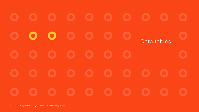$\bullet$  $\bullet$ Data tables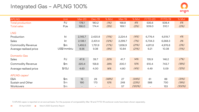## Integrated Gas – APLNG 100%

| <b>APLNG</b>             | Unit           | Mar-20                   | Dec-19  | % Myt                    | Mar-19  | % Mvt  | FYTD-20                  | FYTD-19 | % Mvt  |
|--------------------------|----------------|--------------------------|---------|--------------------------|---------|--------|--------------------------|---------|--------|
| <b>Total production</b>  | PJ             | 178.1                    | 180.2   | (1%)                     | 168.8   | 6%     | 535.6                    | 508.4   | 5%     |
| <b>Total sales</b>       | PJe            | 166.0                    | 174.4   | (5%)                     | 169.1   | (2%)   | 509.0                    | 510.1   | (0%)   |
| <b>LNG</b>               |                |                          |         |                          |         |        |                          |         |        |
| Production               | kt             | 2,145.7                  | 2,420.8 | (11%)                    | 2,224.4 | (4%)   | 6,776.4                  | 6,519.7 | 4%     |
| Sales                    | kt             | 2,138.1                  | 2,431.4 | (12%)                    | 2,299.7 | (7%)   | 6,734.3                  | 6,568.3 | 3%     |
| <b>Commodity Revenue</b> | $\mathsf{\$m}$ | 1,455.5                  | 1,751.9 | (17%)                    | 1,836.9 | (21%)  | 4,811.8                  | 4,976.8 | (3%)   |
| Average realised price   | US\$/mmbtu     | 8.56                     | 9.38    | (9%)                     | 10.84   | (21%)  | 9.21                     | 10.38   | (11%)  |
| <b>Domestic Gas</b>      |                |                          |         |                          |         |        |                          |         |        |
| Sales                    | PJ             | 47.6                     | 39.7    | 20%                      | 41.7    | 14%    | 135.9                    | 146.2   | (7%)   |
| <b>Commodity Revenue</b> | \$m            | 220.4                    | 158.8   | 39%                      | 200.1   | 10%    | 610.4                    | 743.7   | (18%)  |
| Average realised price   | $\sqrt{$GJ}$   | 4.63                     | 4.00    | 16%                      | 4.80    | (4%)   | 4.49                     | 5.09    | (12%)  |
| APLNG capex <sup>1</sup> |                |                          |         |                          |         |        |                          |         |        |
| E&A                      | \$m\$          | 15                       | 29      | (48%)                    | 27      | (44%)  | 61                       | 88      | (31%)  |
| Sustain and Other        | $\mathsf{\$m}$ | 190                      | 173     | 10%                      | 248     | (23%)  | 588                      | 730     | (19%)  |
| Workovers                | \$m            | $\overline{\phantom{a}}$ |         | $\overline{\phantom{a}}$ | 57      | (100%) | $\overline{\phantom{a}}$ | 153     | (100%) |

1) APLNG capex is reported on an accrual basis. For the purpose of comparability Mar-19 and FYTD-19 workover costs have been shown separately.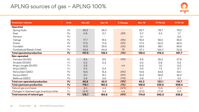## APLNG sources of gas – APLNG 100%



| <b>Production volumes</b>               | <b>Units</b> | <b>Mar-20</b>            | <b>Dec-19</b>            | % Change                 | <b>Mar-19</b> | FYTD-20 | <b>FYTD-19</b> |
|-----------------------------------------|--------------|--------------------------|--------------------------|--------------------------|---------------|---------|----------------|
| Operated                                |              |                          |                          |                          |               |         |                |
| Spring Gully                            | PJ           | 26.3                     | 26.3                     | $\overline{\phantom{m}}$ | 25.7          | 78.7    | 79.2           |
| Peat                                    | PJ           | 0.9                      | 0.7                      | 29%                      | 0.7           | 2.3     | 1.7            |
| Denison                                 | PJ           | $\overline{\phantom{a}}$ | $\overline{\phantom{a}}$ |                          | O.1           |         | 0.5            |
| Talinga                                 | PJ           | 17.7                     | 19.4                     | (9%)                     | 18.4          | 56.5    | 55.6           |
| Orana                                   | PJ           | 17.0                     | 17.9                     | (5%)                     | 17.0          | 52.0    | 48.0           |
| Condabri                                | PJ           | 31.9                     | 33.0                     | (3%)                     | 29.6          | 98.1    | 93.9           |
| Combabula/Reedy Creek                   | PJ           | 43.6                     | 40.9                     | 7%                       | 37.1          | 124.7   | 112.8          |
| <b>Total operated production</b>        | <b>PJ</b>    | 137.5                    | 138.3                    | (1%)                     | 128.5         | 412.4   | 391.7          |
| Non-operated                            |              |                          |                          |                          |               |         |                |
| Fairview (GLNG)                         | PJ           | 8.5                      | 8.9                      | (4%)                     | 8.9           | 26.2    | 27.9           |
| Arcadia (GLNG)                          | PJ           | O.3                      | 0.3                      | $\overline{\phantom{m}}$ | O.2           | 0.8     | 0.5            |
| Angry Jungle (GLNG)                     | PJ           | 0.9                      |                          | n/a                      | O.O           | 1.0     | O.O            |
| Anya (QGC)                              | PJ           | 0.4                      | 0.4                      |                          | 0.5           | 1.3     | 0.7            |
| Kenya East (QGC)                        | PJ           | 14.5                     | 15.4                     | (6%)                     | 14.9          | 44.6    | 43.1           |
| Kenya (QGC)                             | PJ           | 15.1                     | 16.1                     | (6%)                     | 15.0          | 46.5    | 42.2           |
| Bellevue (QGC)                          | PJ           | 0.8                      | 0.9                      | (11%)                    | 0.8           | 2.7     | 2.3            |
| Total non-operated production           | PJ           | 40.6                     | 42.0                     | (3%)                     | 40.3          | 123.1   | 116.7          |
| Total upstream production               | <b>PJ</b>    | 178.1                    | 180.2                    | (1%)                     | 168.8         | 535.6   | 508.4          |
| Natural gas purchases                   | PJ           | 3.0                      | 4.4                      | (32%)                    | 6.1           | 13.9    | 27.3           |
| Changes in Upstream gas inventory/other | PJ           | (4.4)                    | 0.2                      | n/a                      | (0.2)         | (7.0)   | 0.6            |
| Total sources of natural gas            | <b>PJ</b>    | 176.7                    | 184.8                    | (4%)                     | 174.8         | 542.4   | 536.2          |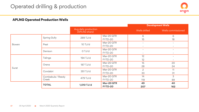

#### **APLNG Operated Production Wells**

|                          |                   |                                       |            |                          | <b>Development Wells</b> |
|--------------------------|-------------------|---------------------------------------|------------|--------------------------|--------------------------|
|                          |                   | Avg daily production<br>(APLNG share) |            | Wells drilled            | Wells commissioned       |
|                          | Spring Gully      | 289 TJ/d                              | Mar-20 QTR | 6                        | 6                        |
|                          |                   |                                       | FYTD-20    | 15                       | 18                       |
| Bowen<br>Peat<br>Denison |                   | $10$ TJ/d                             | Mar-20 QTR | $\qquad \qquad -$        | $\overline{\phantom{a}}$ |
|                          |                   |                                       | FYTD-20    | $\overline{\phantom{a}}$ | $\overline{\phantom{a}}$ |
|                          |                   | O TJ/d                                | Mar-20 QTR | $\qquad \qquad -$        | $\overline{\phantom{a}}$ |
|                          |                   |                                       | FYTD-20    |                          | $\overline{\phantom{a}}$ |
|                          |                   | 194 TJ/d                              | Mar-20 QTR | 12                       | $\overline{\phantom{a}}$ |
|                          | Talinga           |                                       | FYTD-20    | 12                       | $\overline{\phantom{a}}$ |
|                          | Orana             | 187 TJ/d                              | Mar-20 QTR | 15                       | 20                       |
| Surat                    |                   |                                       | FYTD-20    | 28                       | 24                       |
|                          | Condabri          | 351 TJ/d                              | Mar-20 QTR | $\overline{c}$           | 11                       |
|                          |                   |                                       | FYTD-20    | 33                       | 31                       |
|                          | Combabula / Reedy | 479 TJ/d                              | Mar-20 QTR | 14                       | 3                        |
|                          | Creek             |                                       | FYTD-20    | 119                      | 89                       |
|                          | <b>TOTAL</b>      | 1,510 TJ/d                            | Mar-20 QTR | 49                       | 40                       |
|                          |                   |                                       | FYTD-20    | 207                      | 162                      |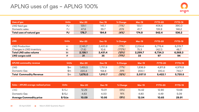| Uses of gas               | Units | <b>Mar-20</b> | <b>Dec-19</b> | % Change | <b>Mar-19</b> | <b>FYTD-20</b> | <b>FYTD-19</b> |
|---------------------------|-------|---------------|---------------|----------|---------------|----------------|----------------|
| LNG feed gas              | PJ    | 129.1         | 145.1         | (11%)    | 133.          | 406.6          | 390.0          |
| Domestic sales            | ാ⊖    | 47.6          | 39.7          | 20%      | 41.7          | 135.9          | 146.2          |
| Total uses of natural gas | PJ    | 176.7         | 184.8         | (4%)     | 174.8         | 542.4          | 536.2          |

| <b>LNG</b>               | <b>Units</b> | <b>Mar-20</b> | <b>Dec-19</b> | % Change | <b>Mar-19</b> | FYTD-20 | FYTD-19 |
|--------------------------|--------------|---------------|---------------|----------|---------------|---------|---------|
| LNG Production           |              | 2.145.7       | 2,420.8       | (11%)    | 2.224.4       | 6.776.4 | 6.519.7 |
| Changes in LNG inventory | kt           | (7.6)         | 10.6          | (172%)   | 75.3          | (42.1)  | 48.7    |
| Total LNG sales volume   | kt           | 2,138.1       | 2.431.4       | (12%)    | 2.299.7       | 6,734.3 | 6,568.3 |
| LNG cargos sold          |              | 31            | 35            | (11%)    | 33            | 97      | 94      |

| <b>APLNG commodity revenue</b> | <b>Units</b> | <b>Mar-20</b> | <b>Dec-19</b> | % Change | <b>Mar-19</b> | FYTD-20 | FYTD-19 |
|--------------------------------|--------------|---------------|---------------|----------|---------------|---------|---------|
| LNG.                           | \$m          | 1.455.5       | 1.751.9       | (17%)    | 1.836.9       | 4.811.8 | 4.976.8 |
| Domestic Gas                   | \$m          | 220.4         | 158.8         | 39%      | 200.1         | 610.4   | 743.7   |
| <b>Total Commodity Revenue</b> | \$m          | 1,676.0       | 1,910.7       | (12%)    | 2.037.0       | 5.422.1 | 5,720.5 |

| Sales - APLNG average realised prices | Units         | <b>Mar-20</b> | <b>Dec-19</b> | % Change | Mar-19 <b>\</b> | FYTD-20 | FYTD-19 |
|---------------------------------------|---------------|---------------|---------------|----------|-----------------|---------|---------|
| LNG                                   | \$/GJ         | 12.29         | 13.01         | (6%)     | 14.42           | 12.90   | 13.68   |
| Domestic Gas                          | $\frac{f}{G}$ | 4.63          | 4.00          | 16%      | 4.80            | 4.49    | 5.09    |
| <b>Average Commodity price</b>        | \$/GJe        | 10.09         | 10.95         | (8%)     | 12.04           | 10.65   | 29.91   |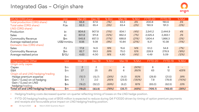#### Integrated Gas – Origin share

| APLNG (ORG share)                  | Unit           | Mar-20       | Dec-19        | % Myt | Mar-19 | % Mvt  | FYTD-20 | FYTD-19 | % Mvt  |
|------------------------------------|----------------|--------------|---------------|-------|--------|--------|---------|---------|--------|
| Total production (ORG share)       | PJ             | 66.8         | 67.6          | (1%)  | 63.3   | 6%     | 200.8   | 190.6   | 5%     |
| Total sales (ORG share)            | PJe            | 62.3         | 65.4          | (5%)  | 63.4   | (2%)   | 190.9   | 191.3   | (0%)   |
| LNG (ORG share)                    |                |              |               |       |        |        |         |         |        |
| Production                         | kt             | 804.6        | 907.8         | (11%) | 834.1  | (4%)   | 2,541.2 | 2,444.9 | 4%     |
| Sales                              | kt             | 801.8        | 911.8         | (12%) | 862.4  | (7%)   | 2,525.4 | 2,463.1 | 3%     |
| <b>Commodity Revenue</b>           | \$m\$          | 545.8        | 657.0         | (17%) | 688.8  | (21%)  | 1,804.4 | 1,866.3 | (3%)   |
| Average realised price             | US\$/mmbtu     | 8.56         | 9.38          | (9%)  | 10.84  | (21%)  | 9.21    | 10.38   | (11%)  |
| Domestic Gas (ORG share)           |                |              |               |       |        |        |         |         |        |
| Sales                              | PJ             | 17.8         | 14.9          | 19%   | 15.6   | 14%    | 51.0    | 54.8    | (7%)   |
| <b>Commodity Revenue</b>           | \$m            | 82.7         | 59.5          | 39%   | 75.0   | 10%    | 228.9   | 278.9   | (18%)  |
| Average realised price             | \$/GJ          | 4.63         | 4.00          | 16%   | 4.80   | (4%)   | 4.49    | 5.09    | (12%)  |
|                                    |                |              |               |       |        |        |         |         |        |
| Integrated Gas Other               | Unit           | Mar-20       | <b>Dec-19</b> | % Mvt | Mar-19 | % Mvt  | FYTD-20 | FYTD-19 | % Mvt  |
| Origin only capex                  |                |              |               |       |        |        |         |         |        |
| Capex                              | $\mathsf{\$m}$ | $\mathbf{2}$ | $\mathbf{2}$  |       | 4      | (50%)  | 8       | 8       |        |
| E&A                                | \$m            | 27           | 25            | 8%    | 6      | 350%   | 63      | 12      | 425%   |
| Origin oil and LNG hedging/trading |                |              |               |       |        |        |         |         |        |
| Hedge premium expense              | $\mathsf{\$m}$ | (10.1)       | (13.7)        | (26%) | (4.0)  | 153%   | (29.9)  | (21.5)  | 39%    |
| Gain / (Loss) on oil hedging       | \$m            | 7.1          | 2.0           | 255%  | (23.5) | (130%) | 7.8     | (78.9)  | (110%) |
| Gain / (Loss) on LNG               | \$m\$          | (16.2)       | (52.2)        | (69%) | (6.2)  | 161%   | (83.0)  | (62.5)  | 33%    |
| hedging/trading                    |                |              |               |       |        |        |         |         |        |
| Total oil and LNG hedging/trading  | \$m\$          | (19.2)       | (63.9)        | (70%) | (33.7) | (43%)  | (105.1) | (162.8) | (35%)  |

• Hedging/trading costs decreased quarter-on-quarter reflecting timing of losses on the LNG hedge position.

• FYTD-20 hedging/trading cost of \$105 million is expected to reduce during Q4 FY2020 driven by timing of option premium payments and receipts and favourable price impact on LNG hedging/trading position.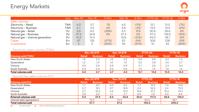|                                   | Unit | Mar-20         | Dec-19 | % Mvt                    | Mar-19 | % Mvt | FYTD-20 | FYTD-19 | % Mvt |
|-----------------------------------|------|----------------|--------|--------------------------|--------|-------|---------|---------|-------|
| Sales volumes                     |      |                |        |                          |        |       |         |         |       |
| Electricity - Retail              | TWh  | 4.0            | 3.7    | 7%                       | 4.5    | (11%) | 12.1    | 13.0    | (7%)  |
| Electricity - Business            | TWh  | 4.7            | 4.5    | 4%                       | 4.8    | (3%)  | 13.6    | 14.5    | (6%)  |
| Natural gas - Retail              | PJ   | 5.9            | 8.2    | (28%)                    | 5.3    | 12%   | 30.8    | 28.6    | 8%    |
| Natural gas - Business            | PJ   | 37.5           | 34.8   | 8%                       | 37.4   | 0%    | 117.2   | 139.5   | (16%) |
| Natural gas - Internal generation | PJ   | 14.3           | 14.3   | $\overline{\phantom{0}}$ | 15.8   | (10%) | 44.0    | 38.1    | 16%   |
| Capex                             | \$m  | 97             | 132    | (27%)                    | 63     | 54%   | 308     | 238     | 29%   |
| Investments                       | \$m  | $\overline{2}$ | 5      | (60%)                    | 59     | (97%) | 10      | 63      | (84%) |

#### Electricity sales volume (TWh)

|                           | $Mar-20 QTR$    |                 | Dec-19 QTR    |                 | FYTD-20       |                 | FYTD-19       |                 |
|---------------------------|-----------------|-----------------|---------------|-----------------|---------------|-----------------|---------------|-----------------|
| <b>Volumes sold (TWh)</b> | <b>Retail</b>   | <b>Business</b> | <b>Retail</b> | <b>Business</b> | <b>Retail</b> | <b>Business</b> | <b>Retail</b> | <b>Business</b> |
| New South Wales           | .8 <sub>1</sub> | 2.3             | 1.8           | 2.2             | 5.8           | 6.8             | 6.2           | 7.2             |
| Queensland                | 1.2             | 1.0             | 1.0           | 1.0             | 3.2           | 2.8             | 3.5           | 2.7             |
| Victoria                  | 0.6             | 0.9             | 0.6           | 0.9             | 2.1           | 2.6             | 2.3           | 3.2             |
| South Australia           | 0.3             | 0.4             | 0.3           | 0.5             | 1.0           | 1.4             | 1.0           | 1.4             |
| Total volumes sold        | 4.0             | 4.7             | 3.7           | 4.5             | 12.1          | 13.6            | 13.0          | 14.5            |

#### Natural Gas sales volume (PJ)

|                             | Mar-20 QTR |                 | <b>Dec-19 QTR</b> |                 | FYTD-20       |                 | <b>FYTD-19</b> |                 |
|-----------------------------|------------|-----------------|-------------------|-----------------|---------------|-----------------|----------------|-----------------|
| <b>Volumes sold (PJ)</b>    | Retail     | <b>Business</b> | <b>Retail</b>     | <b>Business</b> | <b>Retail</b> | <b>Business</b> | <b>Retail</b>  | <b>Business</b> |
| New South Wales             |            | 6.2             | 2.0               | 4.2             | 7.7           | 15.5            | 7.0            | 14.6            |
| Queensland                  | 0.7        | 19.1            | 0.7               | 15.8            | 2.4           | 52.2            | 2.4            | 75.3            |
| Victoria                    |            | 10.2            | 4.4               | 12.0            | 16.8          | 41.7            | 15.2           | 41.2            |
| South Australia             | 0.8        | 2.0             |                   | 2.7             | 4.0           | 7.8             | 4.0            | 8.4             |
| External volumes sold       | 5.9        | 37.5            | 8.2               | 34.8            | 30.8          | 117.2           | 28.6           | 139.5           |
| Internal sales (generation) |            | 14.3            |                   | 14.3            |               | 44.0            |                | 38.1            |
| <b>Total volumes sold</b>   |            | 57.7            |                   | 57.2            |               | 192.0           |                | 206.2           |

**20** 30 April 2020 March 2020 Quarterly Report